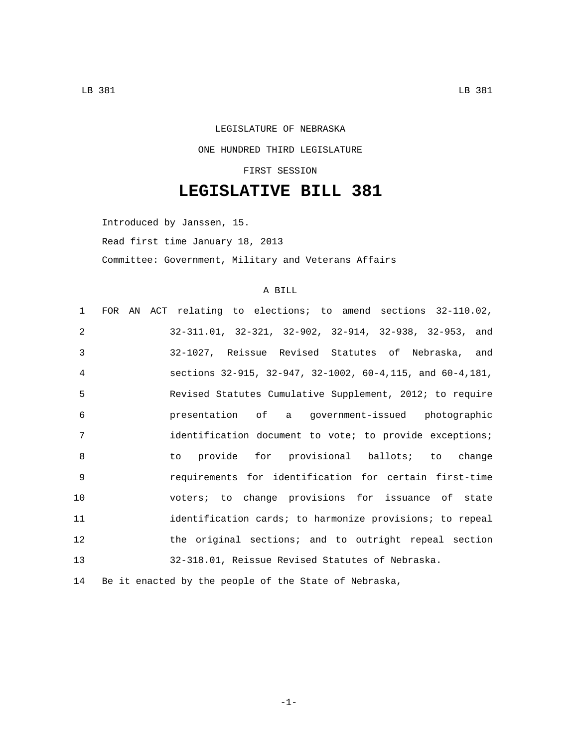## LEGISLATURE OF NEBRASKA ONE HUNDRED THIRD LEGISLATURE FIRST SESSION

## **LEGISLATIVE BILL 381**

Introduced by Janssen, 15. Read first time January 18, 2013

Committee: Government, Military and Veterans Affairs

## A BILL

| $\mathbf{1}$    |  | FOR AN ACT relating to elections; to amend sections 32-110.02, |
|-----------------|--|----------------------------------------------------------------|
| 2               |  | 32-311.01, 32-321, 32-902, 32-914, 32-938, 32-953, and         |
| 3               |  | 32-1027, Reissue Revised Statutes of Nebraska, and             |
| 4               |  | sections 32-915, 32-947, 32-1002, 60-4, 115, and 60-4, 181,    |
| 5               |  | Revised Statutes Cumulative Supplement, 2012; to require       |
| 6               |  | presentation of a government-issued photographic               |
| 7               |  | identification document to vote; to provide exceptions;        |
| 8               |  | to provide for provisional ballots; to change                  |
| 9               |  | requirements for identification for certain first-time         |
| 10 <sup>°</sup> |  | voters; to change provisions for issuance of state             |
| 11              |  | identification cards; to harmonize provisions; to repeal       |
| 12              |  | the original sections; and to outright repeal section          |
| 13              |  | 32-318.01, Reissue Revised Statutes of Nebraska.               |
|                 |  |                                                                |

14 Be it enacted by the people of the State of Nebraska,

-1-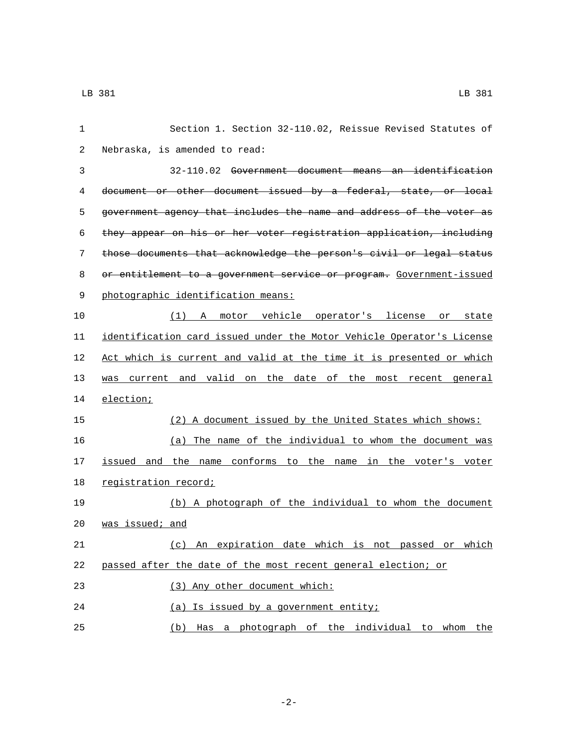| 1           | Section 1. Section 32-110.02, Reissue Revised Statutes of             |
|-------------|-----------------------------------------------------------------------|
| 2           | Nebraska, is amended to read:                                         |
| 3           | 32-110.02 Government document means an identification                 |
| 4           | document or other document issued by a federal, state, or local       |
| 5           | government agency that includes the name and address of the voter as  |
| 6           | they appear on his or her voter registration application, including   |
| 7           | those documents that acknowledge the person's civil or legal status   |
| 8           | or entitlement to a government service or program. Government-issued  |
| $\mathsf 9$ | photographic identification means:                                    |
| 10          | (1) A motor vehicle operator's license or state                       |
| 11          | identification card issued under the Motor Vehicle Operator's License |
| 12          | Act which is current and valid at the time it is presented or which   |
| 13          | was current and valid on the date of the most recent general          |
| 14          | election;                                                             |
| 15          | (2) A document issued by the United States which shows:               |
| 16          | (a) The name of the individual to whom the document was               |
| 17          | issued and the name conforms to the name in the voter's voter         |
| 18          | registration record;                                                  |
| 19          | (b) A photograph of the individual to whom the document               |
| 20          | was issued; and                                                       |
| 21          | (c) An expiration date which is not passed or which                   |
| 22          | passed after the date of the most recent general election; or         |
| 23          | (3) Any other document which:                                         |
| 24          | (a) Is issued by a government entity;                                 |
| 25          | (b) Has a photograph of the individual to whom the                    |

-2-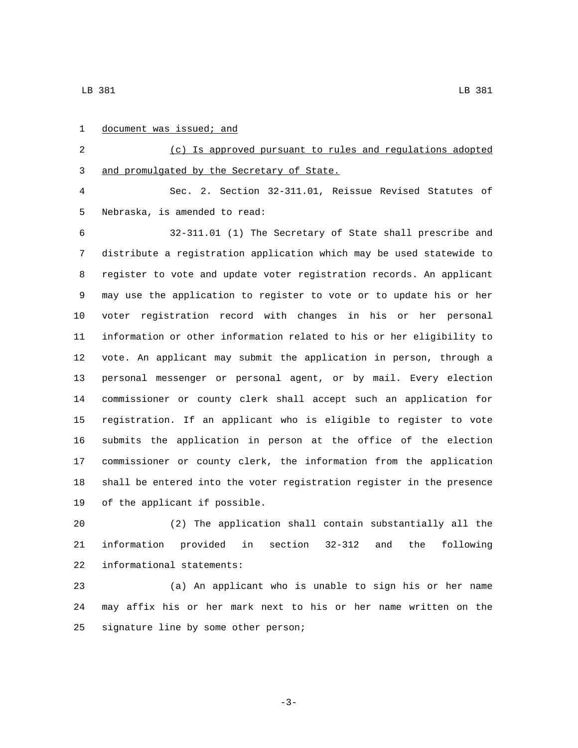| $\mathbf{1}$   | document was issued; and                                              |
|----------------|-----------------------------------------------------------------------|
| 2              | (c) Is approved pursuant to rules and regulations adopted             |
| $\mathsf{3}$   | and promulgated by the Secretary of State.                            |
| $\overline{4}$ | Sec. 2. Section 32-311.01, Reissue Revised Statutes of                |
| 5              | Nebraska, is amended to read:                                         |
| 6              | 32-311.01 (1) The Secretary of State shall prescribe and              |
| 7              | distribute a registration application which may be used statewide to  |
| 8              | register to vote and update voter registration records. An applicant  |
| 9              | may use the application to register to vote or to update his or her   |
| 10             | voter registration record with changes in his or her personal         |
| 11             | information or other information related to his or her eligibility to |
| 12             | vote. An applicant may submit the application in person, through a    |
| 13             | personal messenger or personal agent, or by mail. Every election      |
| 14             | commissioner or county clerk shall accept such an application for     |
| 15             | registration. If an applicant who is eligible to register to vote     |
| 16             | submits the application in person at the office of the election       |
| 17             | commissioner or county clerk, the information from the application    |
| 18             | shall be entered into the voter registration register in the presence |
| 19             | of the applicant if possible.                                         |
| 20             | (2) The application shall contain substantially all the               |
|                |                                                                       |

 information provided in section 32-312 and the following 22 informational statements:

 (a) An applicant who is unable to sign his or her name may affix his or her mark next to his or her name written on the 25 signature line by some other person;

-3-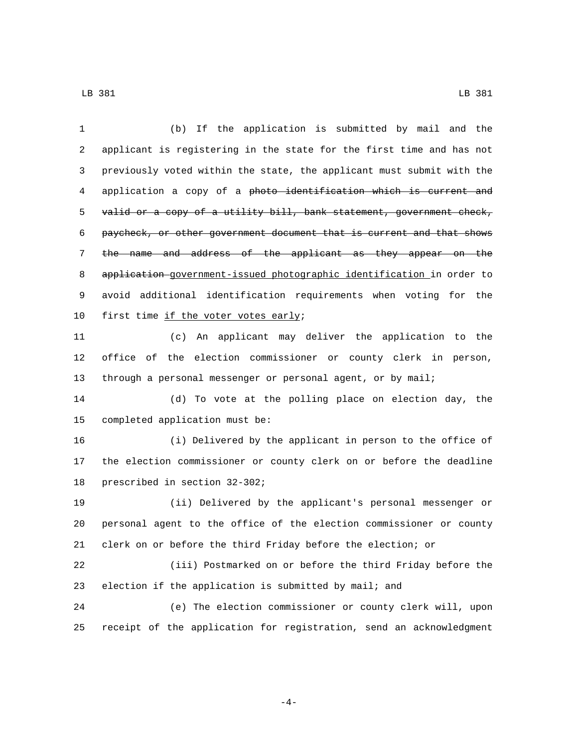(b) If the application is submitted by mail and the applicant is registering in the state for the first time and has not previously voted within the state, the applicant must submit with the 4 application a copy of a photo identification which is current and 5 valid or a copy of a utility bill, bank statement, government check, paycheck, or other government document that is current and that shows the name and address of the applicant as they appear on the application government-issued photographic identification in order to avoid additional identification requirements when voting for the 10 first time if the voter votes early; (c) An applicant may deliver the application to the office of the election commissioner or county clerk in person, through a personal messenger or personal agent, or by mail; (d) To vote at the polling place on election day, the 15 completed application must be: (i) Delivered by the applicant in person to the office of the election commissioner or county clerk on or before the deadline 18 prescribed in section 32-302; (ii) Delivered by the applicant's personal messenger or personal agent to the office of the election commissioner or county clerk on or before the third Friday before the election; or (iii) Postmarked on or before the third Friday before the election if the application is submitted by mail; and (e) The election commissioner or county clerk will, upon receipt of the application for registration, send an acknowledgment

-4-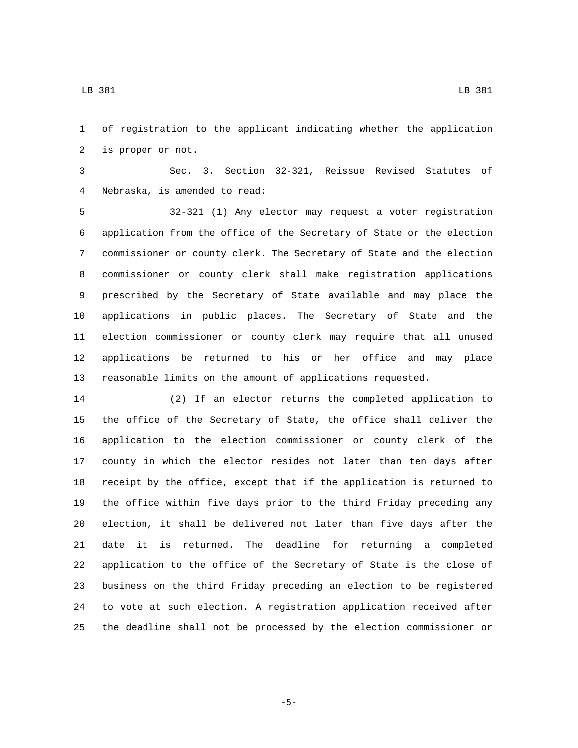of registration to the applicant indicating whether the application 2 is proper or not.

 Sec. 3. Section 32-321, Reissue Revised Statutes of Nebraska, is amended to read:4

 32-321 (1) Any elector may request a voter registration application from the office of the Secretary of State or the election commissioner or county clerk. The Secretary of State and the election commissioner or county clerk shall make registration applications prescribed by the Secretary of State available and may place the applications in public places. The Secretary of State and the election commissioner or county clerk may require that all unused applications be returned to his or her office and may place reasonable limits on the amount of applications requested.

 (2) If an elector returns the completed application to the office of the Secretary of State, the office shall deliver the application to the election commissioner or county clerk of the county in which the elector resides not later than ten days after receipt by the office, except that if the application is returned to the office within five days prior to the third Friday preceding any election, it shall be delivered not later than five days after the date it is returned. The deadline for returning a completed application to the office of the Secretary of State is the close of business on the third Friday preceding an election to be registered to vote at such election. A registration application received after the deadline shall not be processed by the election commissioner or

-5-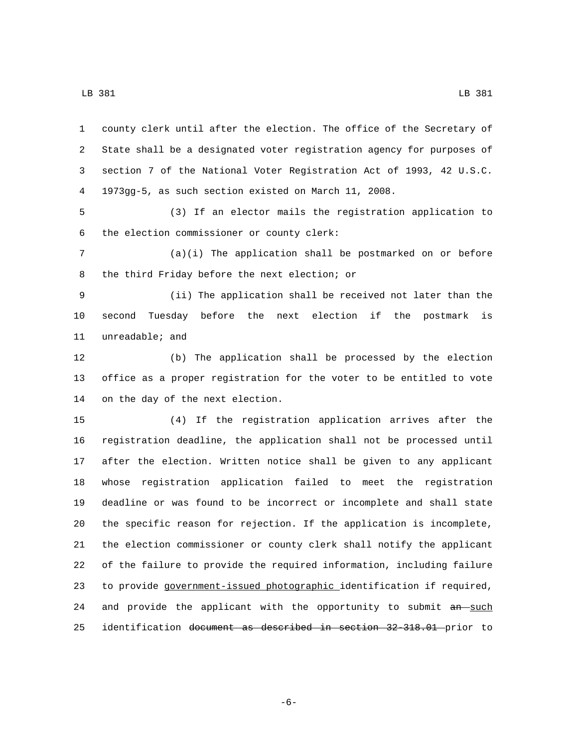county clerk until after the election. The office of the Secretary of State shall be a designated voter registration agency for purposes of section 7 of the National Voter Registration Act of 1993, 42 U.S.C. 1973gg-5, as such section existed on March 11, 2008. (3) If an elector mails the registration application to the election commissioner or county clerk:6 (a)(i) The application shall be postmarked on or before 8 the third Friday before the next election; or (ii) The application shall be received not later than the second Tuesday before the next election if the postmark is 11 unreadable; and (b) The application shall be processed by the election office as a proper registration for the voter to be entitled to vote 14 on the day of the next election. (4) If the registration application arrives after the registration deadline, the application shall not be processed until after the election. Written notice shall be given to any applicant whose registration application failed to meet the registration deadline or was found to be incorrect or incomplete and shall state the specific reason for rejection. If the application is incomplete, the election commissioner or county clerk shall notify the applicant of the failure to provide the required information, including failure to provide government-issued photographic identification if required, 24 and provide the applicant with the opportunity to submit an such identification document as described in section 32-318.01 prior to

-6-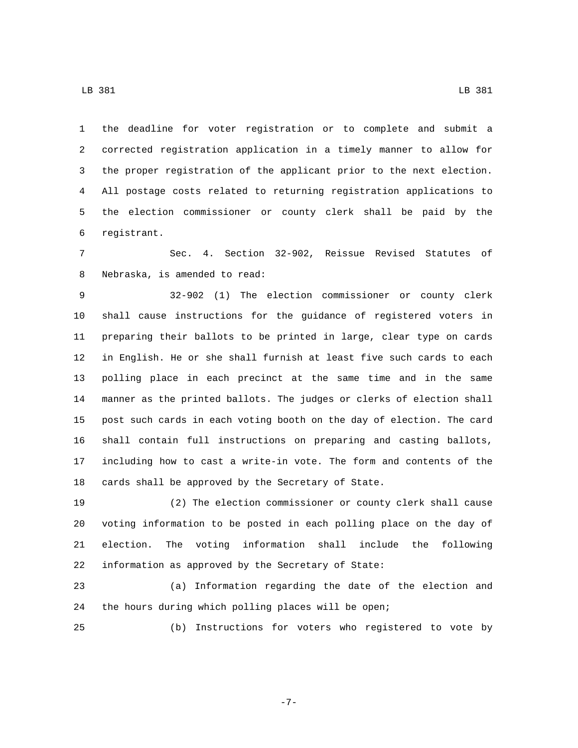the deadline for voter registration or to complete and submit a corrected registration application in a timely manner to allow for the proper registration of the applicant prior to the next election. All postage costs related to returning registration applications to the election commissioner or county clerk shall be paid by the registrant.6

 Sec. 4. Section 32-902, Reissue Revised Statutes of 8 Nebraska, is amended to read:

 32-902 (1) The election commissioner or county clerk shall cause instructions for the guidance of registered voters in preparing their ballots to be printed in large, clear type on cards in English. He or she shall furnish at least five such cards to each polling place in each precinct at the same time and in the same manner as the printed ballots. The judges or clerks of election shall post such cards in each voting booth on the day of election. The card shall contain full instructions on preparing and casting ballots, including how to cast a write-in vote. The form and contents of the cards shall be approved by the Secretary of State.

 (2) The election commissioner or county clerk shall cause voting information to be posted in each polling place on the day of election. The voting information shall include the following information as approved by the Secretary of State:

 (a) Information regarding the date of the election and the hours during which polling places will be open;

(b) Instructions for voters who registered to vote by

-7-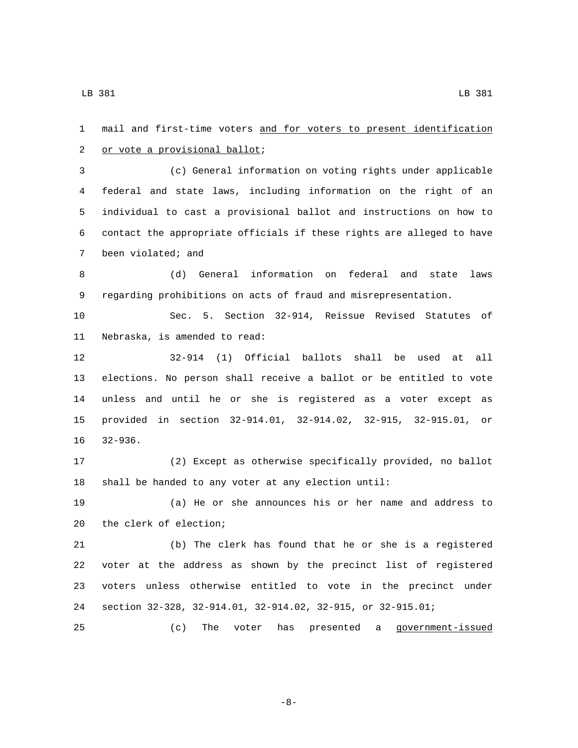mail and first-time voters and for voters to present identification 2 or vote a provisional ballot; (c) General information on voting rights under applicable federal and state laws, including information on the right of an individual to cast a provisional ballot and instructions on how to contact the appropriate officials if these rights are alleged to have 7 been violated; and (d) General information on federal and state laws regarding prohibitions on acts of fraud and misrepresentation. Sec. 5. Section 32-914, Reissue Revised Statutes of 11 Nebraska, is amended to read: 32-914 (1) Official ballots shall be used at all elections. No person shall receive a ballot or be entitled to vote unless and until he or she is registered as a voter except as provided in section 32-914.01, 32-914.02, 32-915, 32-915.01, or 16 32-936. (2) Except as otherwise specifically provided, no ballot shall be handed to any voter at any election until: (a) He or she announces his or her name and address to 20 the clerk of election; (b) The clerk has found that he or she is a registered voter at the address as shown by the precinct list of registered voters unless otherwise entitled to vote in the precinct under section 32-328, 32-914.01, 32-914.02, 32-915, or 32-915.01; (c) The voter has presented a government-issued

-8-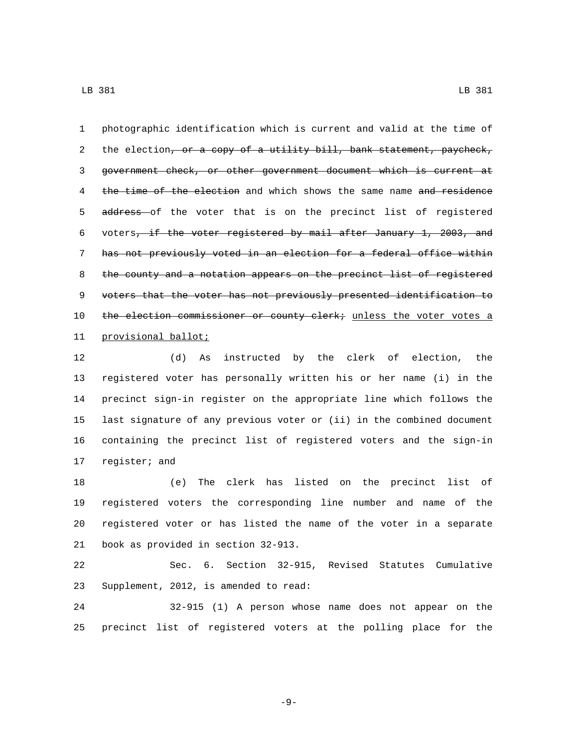1 photographic identification which is current and valid at the time of 2 the election, or a copy of a utility bill, bank statement, paycheck, 3 government check, or other government document which is current at 4 the time of the election and which shows the same name and residence 5 address of the voter that is on the precinct list of registered 6 voters, if the voter registered by mail after January 1, 2003, and 7 has not previously voted in an election for a federal office within 8 the county and a notation appears on the precinct list of registered 9 voters that the voter has not previously presented identification to 10 the election commissioner or county clerk; unless the voter votes a 11 provisional ballot;

 (d) As instructed by the clerk of election, the registered voter has personally written his or her name (i) in the precinct sign-in register on the appropriate line which follows the last signature of any previous voter or (ii) in the combined document containing the precinct list of registered voters and the sign-in 17 register; and

 (e) The clerk has listed on the precinct list of registered voters the corresponding line number and name of the registered voter or has listed the name of the voter in a separate 21 book as provided in section 32-913.

22 Sec. 6. Section 32-915, Revised Statutes Cumulative 23 Supplement, 2012, is amended to read:

24 32-915 (1) A person whose name does not appear on the 25 precinct list of registered voters at the polling place for the

-9-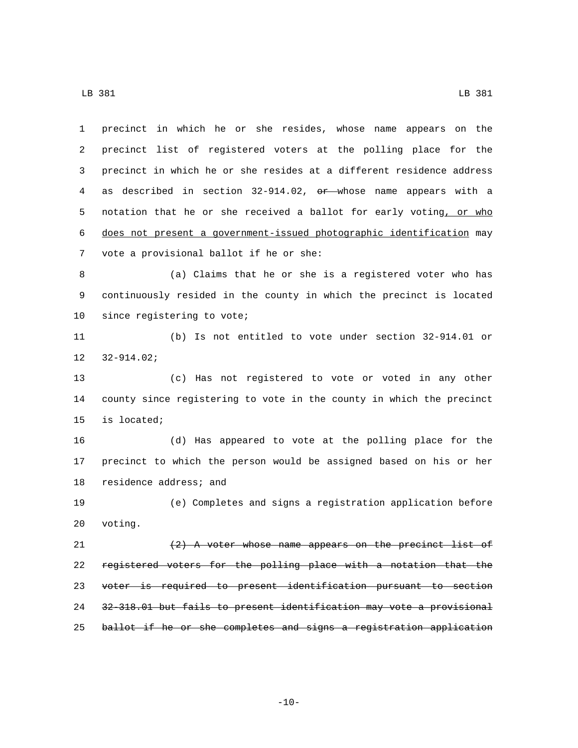precinct in which he or she resides, whose name appears on the precinct list of registered voters at the polling place for the precinct in which he or she resides at a different residence address 4 as described in section 32-914.02, or whose name appears with a 5 notation that he or she received a ballot for early voting, or who does not present a government-issued photographic identification may 7 vote a provisional ballot if he or she: (a) Claims that he or she is a registered voter who has continuously resided in the county in which the precinct is located 10 since registering to vote; (b) Is not entitled to vote under section 32-914.01 or  $12 \quad 32 - 914.02i$  (c) Has not registered to vote or voted in any other county since registering to vote in the county in which the precinct 15 is located; (d) Has appeared to vote at the polling place for the precinct to which the person would be assigned based on his or her 18 residence address; and (e) Completes and signs a registration application before 20 voting.  $(2)$  A voter whose name appears on the precinct list of registered voters for the polling place with a notation that the voter is required to present identification pursuant to section 32-318.01 but fails to present identification may vote a provisional 25 ballot if he or she completes and signs a registration application

 $-10-$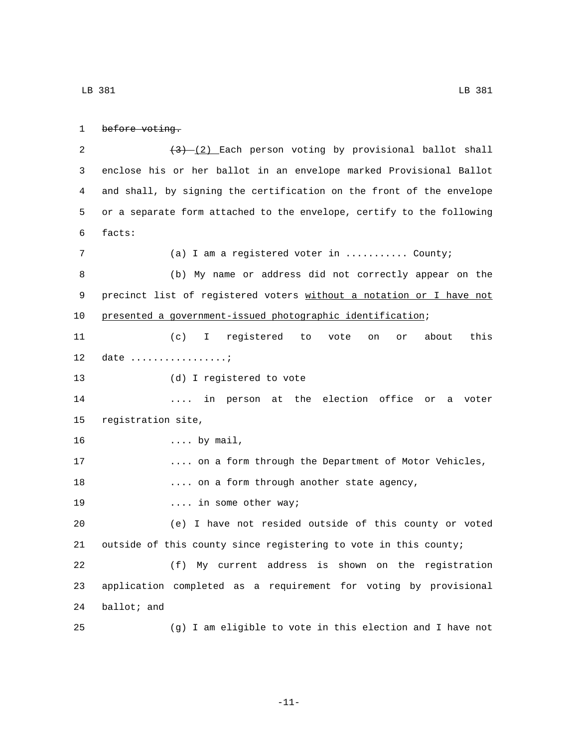```
LB 381 LB 381
```

```
1 before voting.
```
 $\left(\frac{3}{2}\right)$  Each person voting by provisional ballot shall enclose his or her ballot in an envelope marked Provisional Ballot and shall, by signing the certification on the front of the envelope or a separate form attached to the envelope, certify to the following facts:6

 (a) I am a registered voter in ........... County; (b) My name or address did not correctly appear on the 9 precinct list of registered voters without a notation or I have not presented a government-issued photographic identification; (c) I registered to vote on or about this 12 date .................*.* 13 (d) I registered to vote .... in person at the election office or a voter 15 registration site, 16 .... by mail, .... on a form through the Department of Motor Vehicles, 18 .... on a form through another state agency, 19 and 19 and 19 and 19 and 19 and 19 and 19 and 19 and 19 and 19 and 19 and 19 and 19 and 19 and 19 and 19 and 19 and 19 and 19 and 19 and 19 and 19 and 19 and 19 and 19 and 19 and 19 and 19 and 19 and 19 and 19 and 19 an (e) I have not resided outside of this county or voted outside of this county since registering to vote in this county; (f) My current address is shown on the registration application completed as a requirement for voting by provisional ballot; and (g) I am eligible to vote in this election and I have not

-11-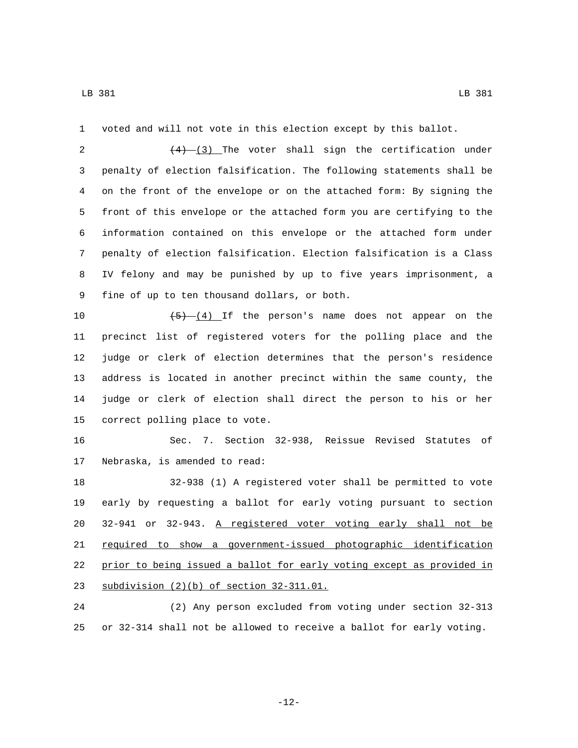voted and will not vote in this election except by this ballot.

 $(4)$   $(3)$  The voter shall sign the certification under penalty of election falsification. The following statements shall be on the front of the envelope or on the attached form: By signing the front of this envelope or the attached form you are certifying to the information contained on this envelope or the attached form under penalty of election falsification. Election falsification is a Class IV felony and may be punished by up to five years imprisonment, a 9 fine of up to ten thousand dollars, or both.

 $\left(-\frac{5}{5}\right)$  (4) If the person's name does not appear on the precinct list of registered voters for the polling place and the judge or clerk of election determines that the person's residence address is located in another precinct within the same county, the judge or clerk of election shall direct the person to his or her 15 correct polling place to vote.

 Sec. 7. Section 32-938, Reissue Revised Statutes of 17 Nebraska, is amended to read:

 32-938 (1) A registered voter shall be permitted to vote early by requesting a ballot for early voting pursuant to section 32-941 or 32-943. A registered voter voting early shall not be 21 required to show a government-issued photographic identification prior to being issued a ballot for early voting except as provided in 23 subdivision  $(2)(b)$  of section  $32-311.01$ .

 (2) Any person excluded from voting under section 32-313 or 32-314 shall not be allowed to receive a ballot for early voting.

-12-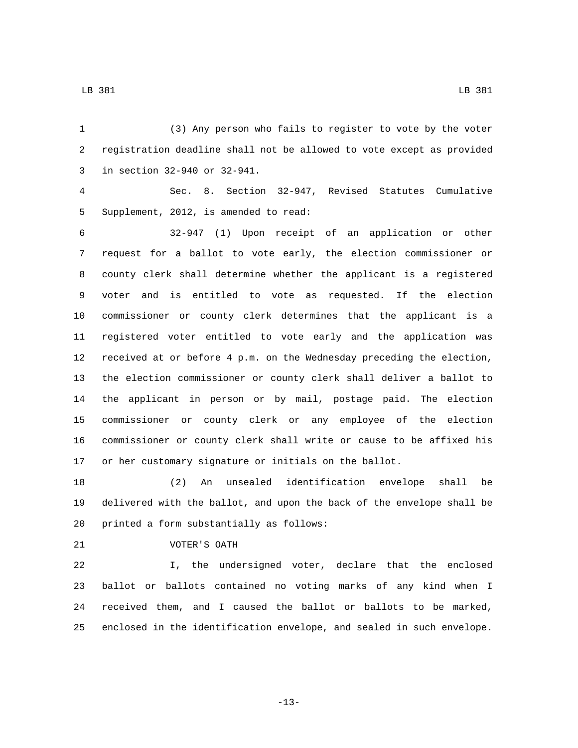(3) Any person who fails to register to vote by the voter registration deadline shall not be allowed to vote except as provided 3 in section 32-940 or 32-941. Sec. 8. Section 32-947, Revised Statutes Cumulative 5 Supplement, 2012, is amended to read: 32-947 (1) Upon receipt of an application or other request for a ballot to vote early, the election commissioner or county clerk shall determine whether the applicant is a registered voter and is entitled to vote as requested. If the election commissioner or county clerk determines that the applicant is a registered voter entitled to vote early and the application was received at or before 4 p.m. on the Wednesday preceding the election, the election commissioner or county clerk shall deliver a ballot to the applicant in person or by mail, postage paid. The election commissioner or county clerk or any employee of the election commissioner or county clerk shall write or cause to be affixed his or her customary signature or initials on the ballot.

 (2) An unsealed identification envelope shall be delivered with the ballot, and upon the back of the envelope shall be 20 printed a form substantially as follows:

21 VOTER'S OATH

 I, the undersigned voter, declare that the enclosed ballot or ballots contained no voting marks of any kind when I received them, and I caused the ballot or ballots to be marked, enclosed in the identification envelope, and sealed in such envelope.

-13-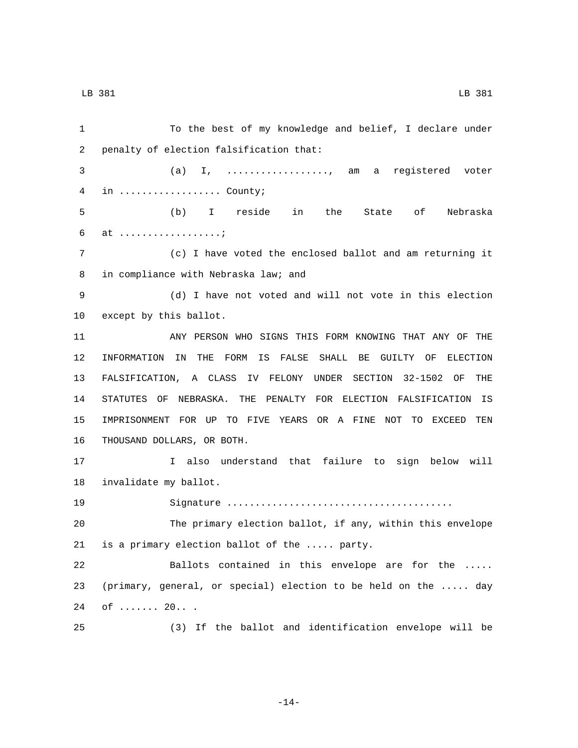To the best of my knowledge and belief, I declare under 2 penalty of election falsification that: (a) I, .................., am a registered voter 4 in .................... County; (b) I reside in the State of Nebraska 6 at ..................*.*  (c) I have voted the enclosed ballot and am returning it 8 in compliance with Nebraska law; and (d) I have not voted and will not vote in this election 10 except by this ballot. ANY PERSON WHO SIGNS THIS FORM KNOWING THAT ANY OF THE INFORMATION IN THE FORM IS FALSE SHALL BE GUILTY OF ELECTION FALSIFICATION, A CLASS IV FELONY UNDER SECTION 32-1502 OF THE STATUTES OF NEBRASKA. THE PENALTY FOR ELECTION FALSIFICATION IS IMPRISONMENT FOR UP TO FIVE YEARS OR A FINE NOT TO EXCEED TEN 16 THOUSAND DOLLARS, OR BOTH. I also understand that failure to sign below will 18 invalidate my ballot. Signature ........................................ The primary election ballot, if any, within this envelope 21 is a primary election ballot of the ..... party. Ballots contained in this envelope are for the ..... (primary, general, or special) election to be held on the ..... day 24 of ....... 20... (3) If the ballot and identification envelope will be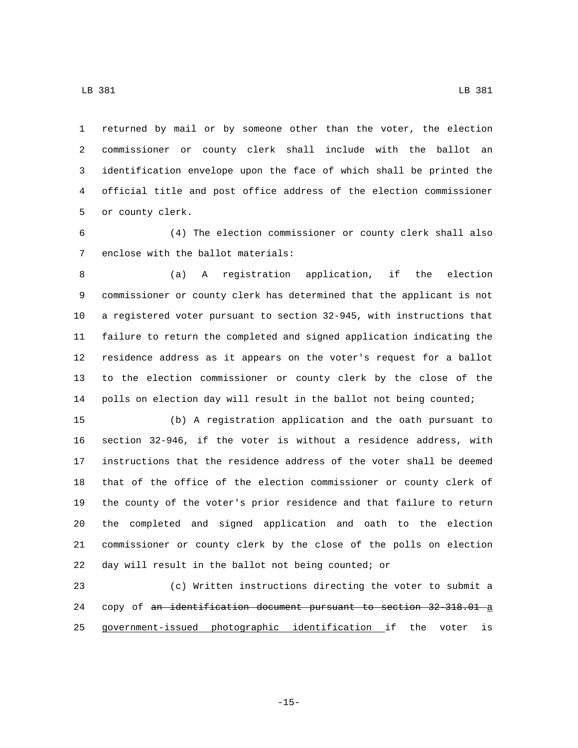returned by mail or by someone other than the voter, the election commissioner or county clerk shall include with the ballot an identification envelope upon the face of which shall be printed the official title and post office address of the election commissioner 5 or county clerk.

 (4) The election commissioner or county clerk shall also 7 enclose with the ballot materials:

 (a) A registration application, if the election commissioner or county clerk has determined that the applicant is not a registered voter pursuant to section 32-945, with instructions that failure to return the completed and signed application indicating the residence address as it appears on the voter's request for a ballot to the election commissioner or county clerk by the close of the polls on election day will result in the ballot not being counted;

 (b) A registration application and the oath pursuant to section 32-946, if the voter is without a residence address, with instructions that the residence address of the voter shall be deemed that of the office of the election commissioner or county clerk of the county of the voter's prior residence and that failure to return the completed and signed application and oath to the election commissioner or county clerk by the close of the polls on election day will result in the ballot not being counted; or

 (c) Written instructions directing the voter to submit a 24 copy of an identification document pursuant to section 32-318.01 a government-issued photographic identification if the voter is

LB 381 LB 381

-15-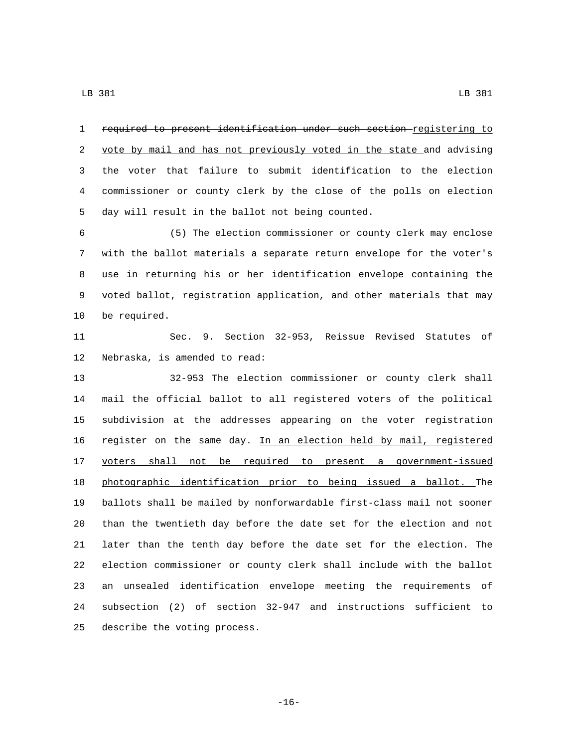required to present identification under such section registering to 2 vote by mail and has not previously voted in the state and advising the voter that failure to submit identification to the election commissioner or county clerk by the close of the polls on election 5 day will result in the ballot not being counted.

 (5) The election commissioner or county clerk may enclose with the ballot materials a separate return envelope for the voter's use in returning his or her identification envelope containing the voted ballot, registration application, and other materials that may 10 be required.

 Sec. 9. Section 32-953, Reissue Revised Statutes of 12 Nebraska, is amended to read:

 32-953 The election commissioner or county clerk shall mail the official ballot to all registered voters of the political subdivision at the addresses appearing on the voter registration register on the same day. In an election held by mail, registered 17 voters shall not be required to present a government-issued photographic identification prior to being issued a ballot. The ballots shall be mailed by nonforwardable first-class mail not sooner than the twentieth day before the date set for the election and not later than the tenth day before the date set for the election. The election commissioner or county clerk shall include with the ballot an unsealed identification envelope meeting the requirements of subsection (2) of section 32-947 and instructions sufficient to 25 describe the voting process.

-16-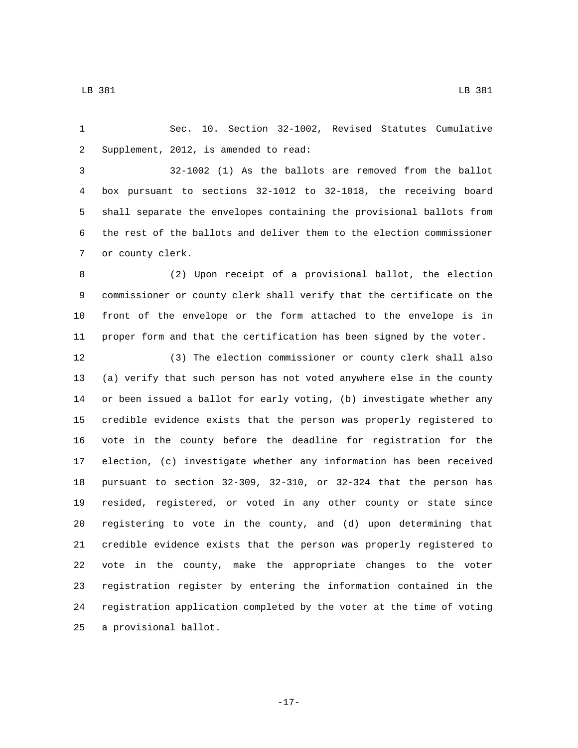Sec. 10. Section 32-1002, Revised Statutes Cumulative 2 Supplement, 2012, is amended to read:

 32-1002 (1) As the ballots are removed from the ballot box pursuant to sections 32-1012 to 32-1018, the receiving board shall separate the envelopes containing the provisional ballots from the rest of the ballots and deliver them to the election commissioner 7 or county clerk.

 (2) Upon receipt of a provisional ballot, the election commissioner or county clerk shall verify that the certificate on the front of the envelope or the form attached to the envelope is in proper form and that the certification has been signed by the voter.

 (3) The election commissioner or county clerk shall also (a) verify that such person has not voted anywhere else in the county or been issued a ballot for early voting, (b) investigate whether any credible evidence exists that the person was properly registered to vote in the county before the deadline for registration for the election, (c) investigate whether any information has been received pursuant to section 32-309, 32-310, or 32-324 that the person has resided, registered, or voted in any other county or state since registering to vote in the county, and (d) upon determining that credible evidence exists that the person was properly registered to vote in the county, make the appropriate changes to the voter registration register by entering the information contained in the registration application completed by the voter at the time of voting 25 a provisional ballot.

-17-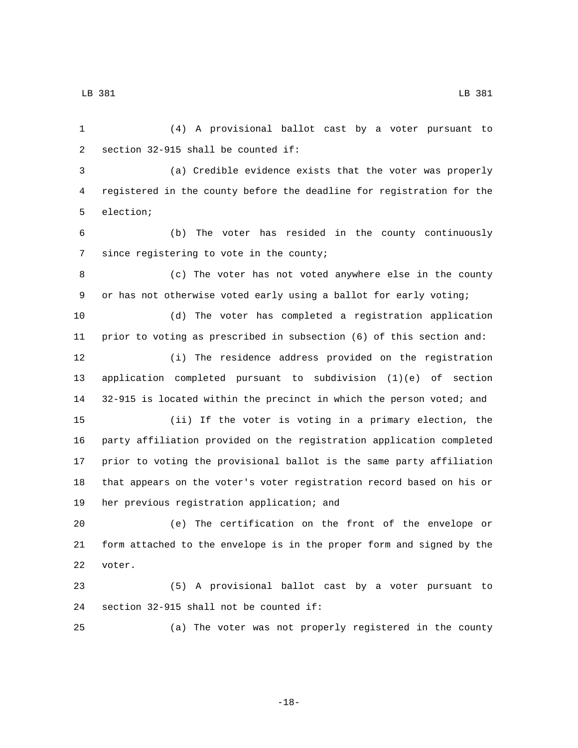(4) A provisional ballot cast by a voter pursuant to 2 section  $32-915$  shall be counted if: (a) Credible evidence exists that the voter was properly registered in the county before the deadline for registration for the 5 election; (b) The voter has resided in the county continuously 7 since registering to vote in the county; (c) The voter has not voted anywhere else in the county or has not otherwise voted early using a ballot for early voting; (d) The voter has completed a registration application prior to voting as prescribed in subsection (6) of this section and: (i) The residence address provided on the registration application completed pursuant to subdivision (1)(e) of section 32-915 is located within the precinct in which the person voted; and (ii) If the voter is voting in a primary election, the party affiliation provided on the registration application completed prior to voting the provisional ballot is the same party affiliation that appears on the voter's voter registration record based on his or 19 her previous registration application; and (e) The certification on the front of the envelope or form attached to the envelope is in the proper form and signed by the 22 voter. (5) A provisional ballot cast by a voter pursuant to 24 section  $32-915$  shall not be counted if: (a) The voter was not properly registered in the county

-18-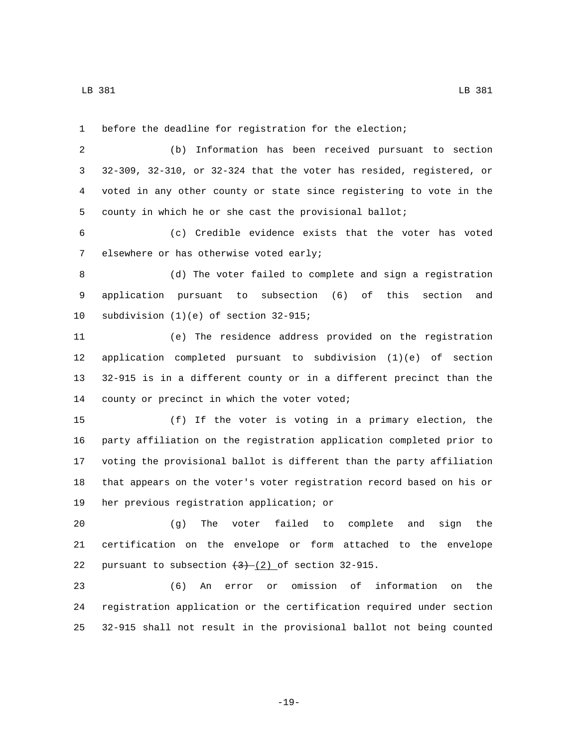before the deadline for registration for the election;

 (b) Information has been received pursuant to section 32-309, 32-310, or 32-324 that the voter has resided, registered, or voted in any other county or state since registering to vote in the county in which he or she cast the provisional ballot;

 (c) Credible evidence exists that the voter has voted 7 elsewhere or has otherwise voted early;

 (d) The voter failed to complete and sign a registration application pursuant to subsection (6) of this section and 10 subdivision  $(1)(e)$  of section  $32-915$ ;

 (e) The residence address provided on the registration application completed pursuant to subdivision (1)(e) of section 32-915 is in a different county or in a different precinct than the 14 county or precinct in which the voter voted;

 (f) If the voter is voting in a primary election, the party affiliation on the registration application completed prior to voting the provisional ballot is different than the party affiliation that appears on the voter's voter registration record based on his or 19 her previous registration application; or

 (g) The voter failed to complete and sign the certification on the envelope or form attached to the envelope 22 pursuant to subsection  $(3)$  (2) of section 32-915.

 (6) An error or omission of information on the registration application or the certification required under section 32-915 shall not result in the provisional ballot not being counted

-19-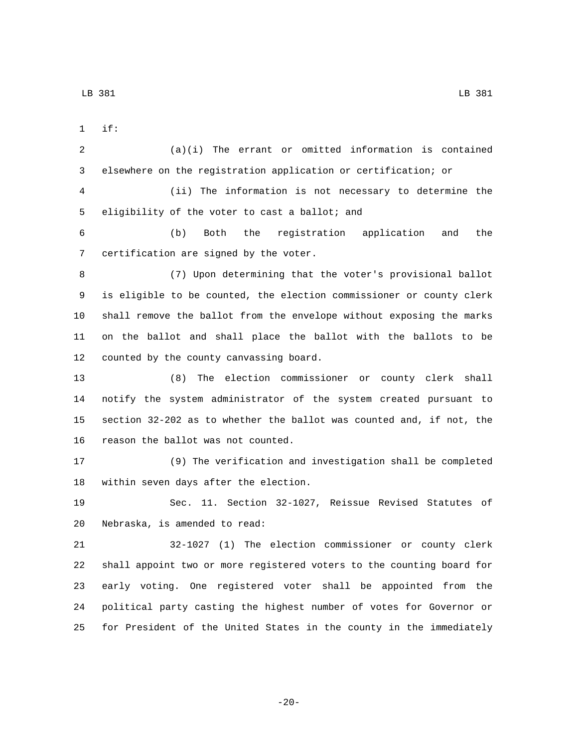if:1

 (a)(i) The errant or omitted information is contained elsewhere on the registration application or certification; or (ii) The information is not necessary to determine the 5 eligibility of the voter to cast a ballot; and

 (b) Both the registration application and the 7 certification are signed by the voter.

 (7) Upon determining that the voter's provisional ballot is eligible to be counted, the election commissioner or county clerk shall remove the ballot from the envelope without exposing the marks on the ballot and shall place the ballot with the ballots to be 12 counted by the county canvassing board.

 (8) The election commissioner or county clerk shall notify the system administrator of the system created pursuant to section 32-202 as to whether the ballot was counted and, if not, the 16 reason the ballot was not counted.

 (9) The verification and investigation shall be completed 18 within seven days after the election.

 Sec. 11. Section 32-1027, Reissue Revised Statutes of 20 Nebraska, is amended to read:

 32-1027 (1) The election commissioner or county clerk shall appoint two or more registered voters to the counting board for early voting. One registered voter shall be appointed from the political party casting the highest number of votes for Governor or for President of the United States in the county in the immediately

-20-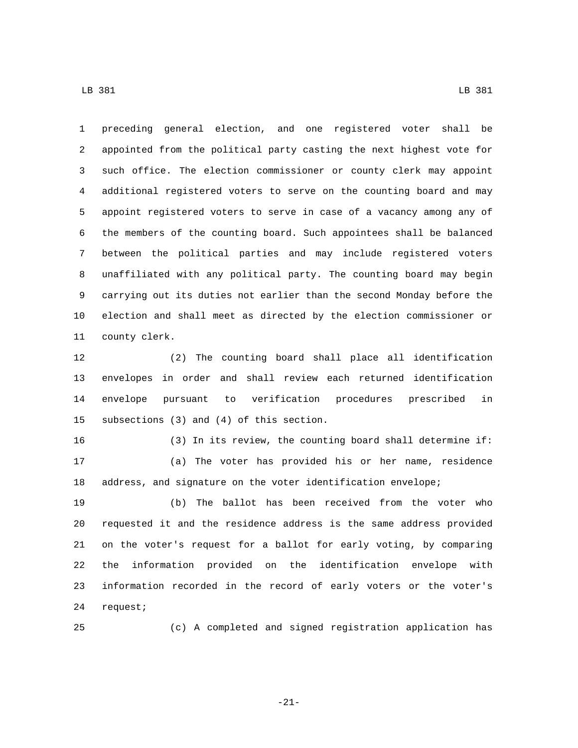preceding general election, and one registered voter shall be appointed from the political party casting the next highest vote for such office. The election commissioner or county clerk may appoint additional registered voters to serve on the counting board and may appoint registered voters to serve in case of a vacancy among any of the members of the counting board. Such appointees shall be balanced between the political parties and may include registered voters unaffiliated with any political party. The counting board may begin carrying out its duties not earlier than the second Monday before the election and shall meet as directed by the election commissioner or 11 county clerk.

 (2) The counting board shall place all identification envelopes in order and shall review each returned identification envelope pursuant to verification procedures prescribed in 15 subsections (3) and (4) of this section.

 (3) In its review, the counting board shall determine if: (a) The voter has provided his or her name, residence address, and signature on the voter identification envelope;

 (b) The ballot has been received from the voter who requested it and the residence address is the same address provided on the voter's request for a ballot for early voting, by comparing the information provided on the identification envelope with information recorded in the record of early voters or the voter's 24 request;

(c) A completed and signed registration application has

-21-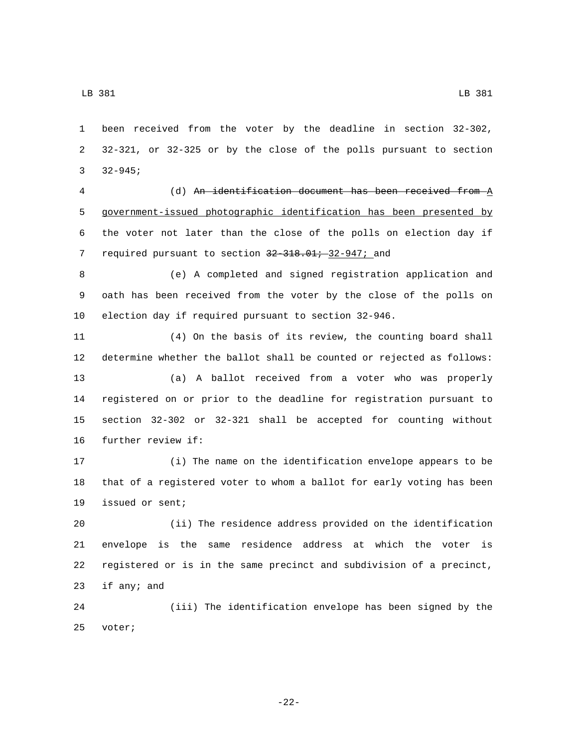been received from the voter by the deadline in section 32-302, 32-321, or 32-325 or by the close of the polls pursuant to section 3  $32-945;$ 

 (d) An identification document has been received from A government-issued photographic identification has been presented by the voter not later than the close of the polls on election day if 7 required pursuant to section 32-318.01; 32-947; and

 (e) A completed and signed registration application and oath has been received from the voter by the close of the polls on election day if required pursuant to section 32-946.

 (4) On the basis of its review, the counting board shall determine whether the ballot shall be counted or rejected as follows: (a) A ballot received from a voter who was properly registered on or prior to the deadline for registration pursuant to section 32-302 or 32-321 shall be accepted for counting without 16 further review if:

 (i) The name on the identification envelope appears to be that of a registered voter to whom a ballot for early voting has been 19 issued or sent;

 (ii) The residence address provided on the identification envelope is the same residence address at which the voter is registered or is in the same precinct and subdivision of a precinct, 23 if any; and

 (iii) The identification envelope has been signed by the 25 voter;

-22-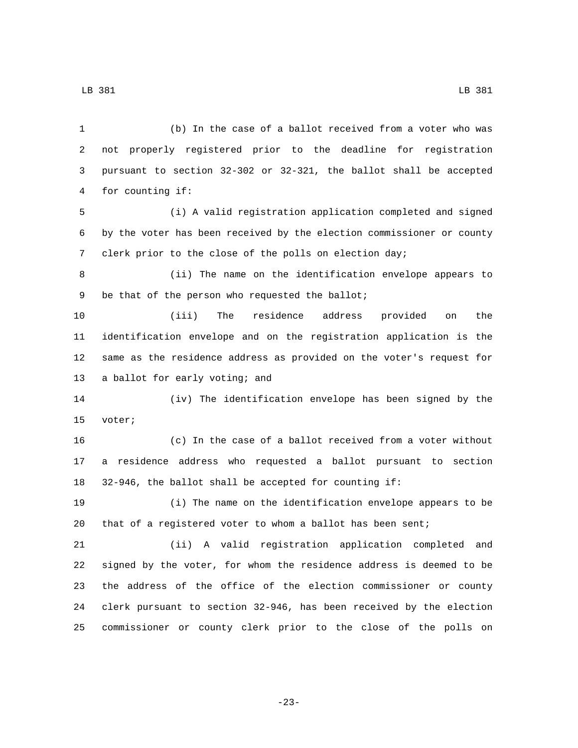(b) In the case of a ballot received from a voter who was not properly registered prior to the deadline for registration pursuant to section 32-302 or 32-321, the ballot shall be accepted 4 for counting if: (i) A valid registration application completed and signed by the voter has been received by the election commissioner or county clerk prior to the close of the polls on election day; (ii) The name on the identification envelope appears to 9 be that of the person who requested the ballot; (iii) The residence address provided on the identification envelope and on the registration application is the same as the residence address as provided on the voter's request for 13 a ballot for early voting; and (iv) The identification envelope has been signed by the 15 voter; (c) In the case of a ballot received from a voter without a residence address who requested a ballot pursuant to section 32-946, the ballot shall be accepted for counting if: (i) The name on the identification envelope appears to be that of a registered voter to whom a ballot has been sent; (ii) A valid registration application completed and signed by the voter, for whom the residence address is deemed to be the address of the office of the election commissioner or county clerk pursuant to section 32-946, has been received by the election commissioner or county clerk prior to the close of the polls on

LB 381 LB 381

-23-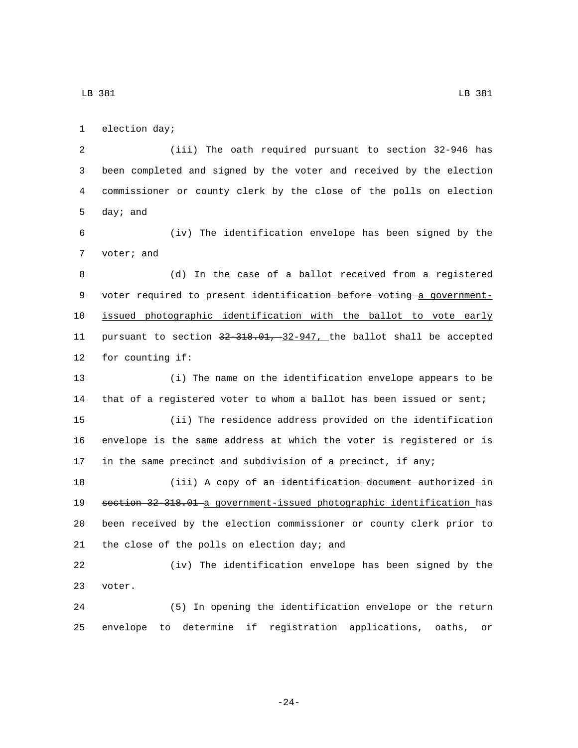1 election day;

 (iii) The oath required pursuant to section 32-946 has been completed and signed by the voter and received by the election commissioner or county clerk by the close of the polls on election 5 day; and

 (iv) The identification envelope has been signed by the 7 voter; and

 (d) In the case of a ballot received from a registered 9 voter required to present identification before voting a government- issued photographic identification with the ballot to vote early pursuant to section 32-318.01, 32-947, the ballot shall be accepted 12 for counting if:

 (i) The name on the identification envelope appears to be that of a registered voter to whom a ballot has been issued or sent; (ii) The residence address provided on the identification envelope is the same address at which the voter is registered or is in the same precinct and subdivision of a precinct, if any;

18 (iii) A copy of an identification document authorized in section 32-318.01 a government-issued photographic identification has been received by the election commissioner or county clerk prior to 21 the close of the polls on election day; and

 (iv) The identification envelope has been signed by the 23 voter.

 (5) In opening the identification envelope or the return envelope to determine if registration applications, oaths, or

-24-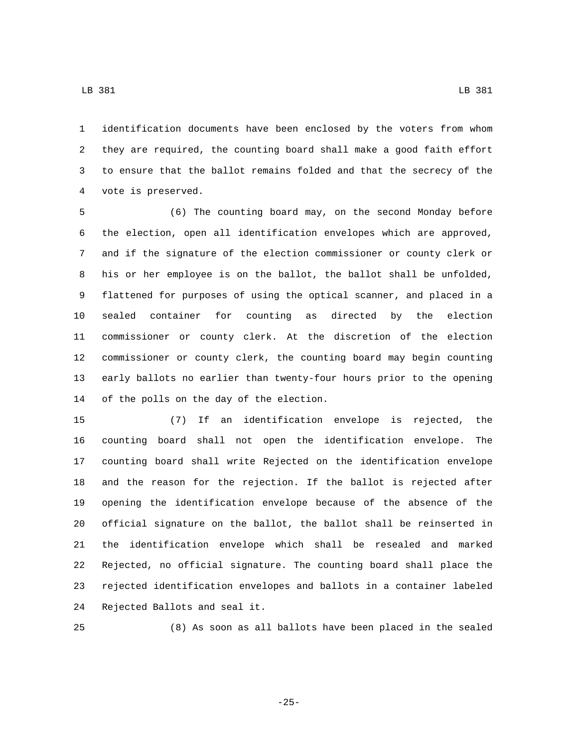identification documents have been enclosed by the voters from whom they are required, the counting board shall make a good faith effort to ensure that the ballot remains folded and that the secrecy of the 4 vote is preserved.

 (6) The counting board may, on the second Monday before the election, open all identification envelopes which are approved, and if the signature of the election commissioner or county clerk or his or her employee is on the ballot, the ballot shall be unfolded, flattened for purposes of using the optical scanner, and placed in a sealed container for counting as directed by the election commissioner or county clerk. At the discretion of the election commissioner or county clerk, the counting board may begin counting early ballots no earlier than twenty-four hours prior to the opening 14 of the polls on the day of the election.

 (7) If an identification envelope is rejected, the counting board shall not open the identification envelope. The counting board shall write Rejected on the identification envelope and the reason for the rejection. If the ballot is rejected after opening the identification envelope because of the absence of the official signature on the ballot, the ballot shall be reinserted in the identification envelope which shall be resealed and marked Rejected, no official signature. The counting board shall place the rejected identification envelopes and ballots in a container labeled 24 Rejected Ballots and seal it.

(8) As soon as all ballots have been placed in the sealed

-25-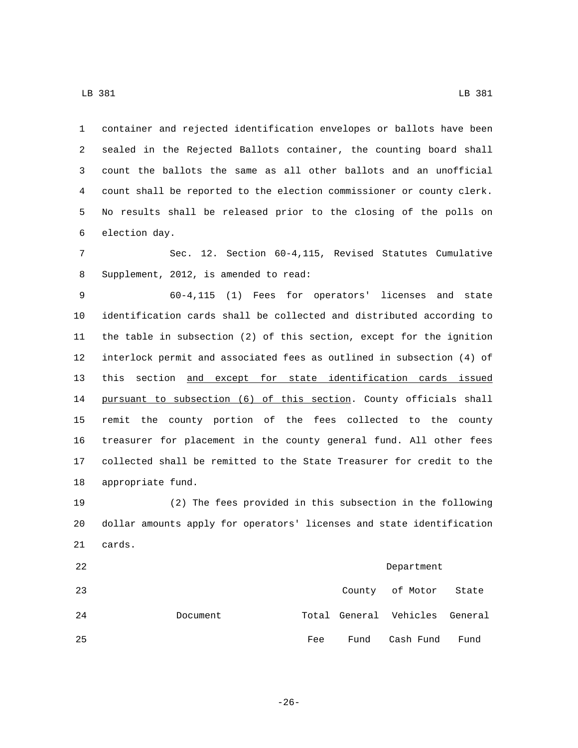container and rejected identification envelopes or ballots have been sealed in the Rejected Ballots container, the counting board shall count the ballots the same as all other ballots and an unofficial count shall be reported to the election commissioner or county clerk. No results shall be released prior to the closing of the polls on 6 election day.

 Sec. 12. Section 60-4,115, Revised Statutes Cumulative 8 Supplement, 2012, is amended to read:

 60-4,115 (1) Fees for operators' licenses and state identification cards shall be collected and distributed according to the table in subsection (2) of this section, except for the ignition interlock permit and associated fees as outlined in subsection (4) of this section and except for state identification cards issued pursuant to subsection (6) of this section. County officials shall remit the county portion of the fees collected to the county treasurer for placement in the county general fund. All other fees collected shall be remitted to the State Treasurer for credit to the 18 appropriate fund.

 (2) The fees provided in this subsection in the following dollar amounts apply for operators' licenses and state identification 21 cards.

| 22 | Department |     |      |                                |       |
|----|------------|-----|------|--------------------------------|-------|
| 23 |            |     |      | County of Motor                | State |
| 24 | Document   |     |      | Total General Vehicles General |       |
| 25 |            | Fee | Fund | Cash Fund                      | Fund  |

LB 381 LB 381

-26-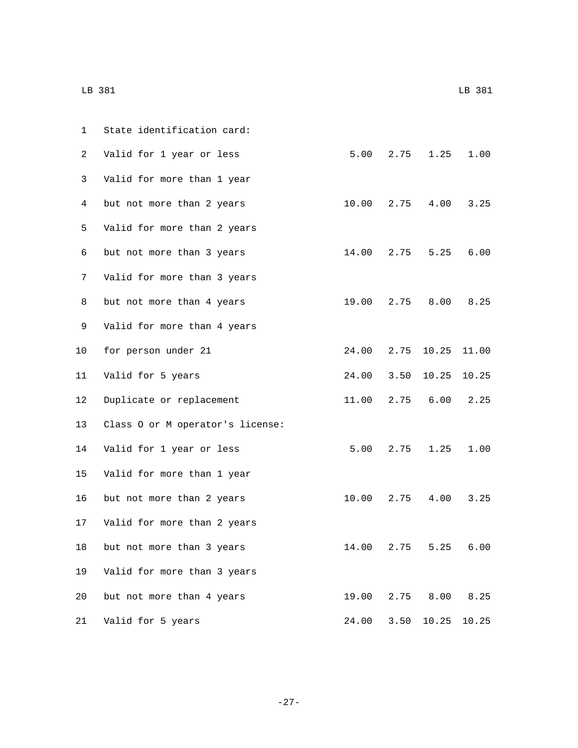| 1               | State identification card:       |            |      |                  |           |
|-----------------|----------------------------------|------------|------|------------------|-----------|
| 2               | Valid for 1 year or less         | 5.00       | 2.75 | 1.25             | 1.00      |
| 3               | Valid for more than 1 year       |            |      |                  |           |
| 4               | but not more than 2 years        | 10.00 2.75 |      |                  | 4.00 3.25 |
| 5               | Valid for more than 2 years      |            |      |                  |           |
| 6               | but not more than 3 years        | 14.00 2.75 |      | 5.25             | 6.00      |
| 7               | Valid for more than 3 years      |            |      |                  |           |
| 8               | but not more than 4 years        | 19.00      | 2.75 | 8.00             | 8.25      |
| 9               | Valid for more than 4 years      |            |      |                  |           |
| 10              | for person under 21              |            |      | 24.00 2.75 10.25 | 11.00     |
| 11              | Valid for 5 years                | 24.00 3.50 |      | 10.25            | 10.25     |
| 12 <sup>°</sup> | Duplicate or replacement         | 11.00      | 2.75 | 6.00             | 2.25      |
| 13              | Class O or M operator's license: |            |      |                  |           |
| 14              | Valid for 1 year or less         | 5.00       | 2.75 | 1.25             | 1.00      |
| 15              | Valid for more than 1 year       |            |      |                  |           |
| 16              | but not more than 2 years        | 10.00 2.75 |      |                  | 4.00 3.25 |
| 17              | Valid for more than 2 years      |            |      |                  |           |
| 18              | but not more than 3 years        | 14.00      | 2.75 | 5.25             | 6.00      |
| 19              | Valid for more than 3 years      |            |      |                  |           |
| 20              | but not more than 4 years        | 19.00      | 2.75 | 8.00             | 8.25      |
| 21              | Valid for 5 years                | 24.00      | 3.50 | 10.25            | 10.25     |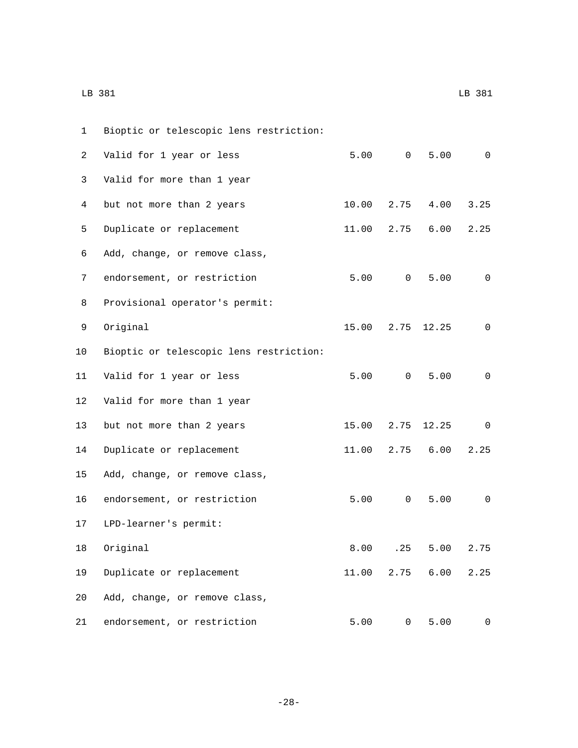| 1  | Bioptic or telescopic lens restriction: |       |                |       |              |
|----|-----------------------------------------|-------|----------------|-------|--------------|
| 2  | Valid for 1 year or less                | 5.00  | $\overline{0}$ | 5.00  | $\mathbf 0$  |
| 3  | Valid for more than 1 year              |       |                |       |              |
| 4  | but not more than 2 years               | 10.00 | 2.75           | 4.00  | 3.25         |
| 5  | Duplicate or replacement                | 11.00 | 2.75           | 6.00  | 2.25         |
| 6  | Add, change, or remove class,           |       |                |       |              |
| 7  | endorsement, or restriction             | 5.00  | $\overline{0}$ | 5.00  | $\mathbf 0$  |
| 8  | Provisional operator's permit:          |       |                |       |              |
| 9  | Original                                | 15.00 | 2.75           | 12.25 | $\mathbf 0$  |
| 10 | Bioptic or telescopic lens restriction: |       |                |       |              |
| 11 | Valid for 1 year or less                | 5.00  | $\overline{0}$ | 5.00  | $\mathbf 0$  |
| 12 | Valid for more than 1 year              |       |                |       |              |
| 13 | but not more than 2 years               | 15.00 | 2.75           | 12.25 | $\mathsf{O}$ |
| 14 | Duplicate or replacement                | 11.00 | 2.75           | 6.00  | 2.25         |
| 15 | Add, change, or remove class,           |       |                |       |              |
| 16 | endorsement, or restriction             | 5.00  | 0              | 5.00  | 0            |
| 17 | LPD-learner's permit:                   |       |                |       |              |
|    | 18 Original                             | 8.00  | .25            | 5.00  | 2.75         |
| 19 | Duplicate or replacement                | 11.00 | 2.75           | 6.00  | 2.25         |
| 20 | Add, change, or remove class,           |       |                |       |              |
| 21 | endorsement, or restriction             | 5.00  | $\mathsf{O}$   | 5.00  | 0            |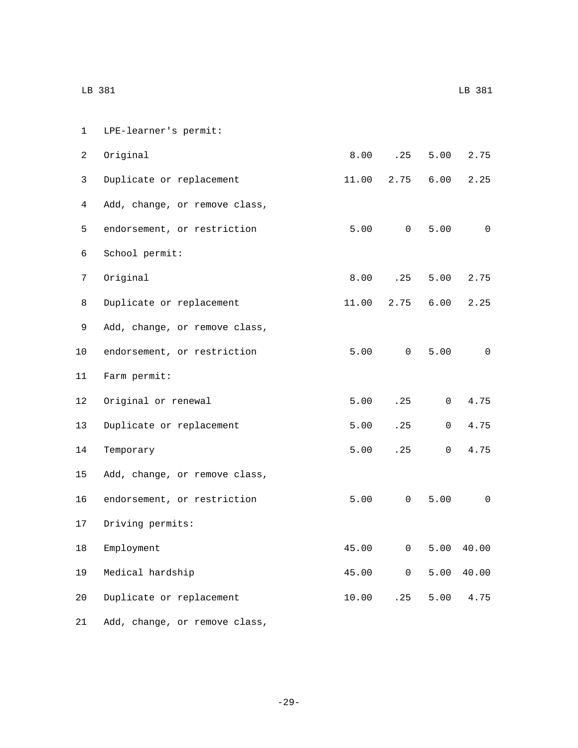| $\mathbf 1$ | LPE-learner's permit:         |       |                     |                |                          |
|-------------|-------------------------------|-------|---------------------|----------------|--------------------------|
| 2           | Original                      | 8.00  | .25                 | 5.00           | 2.75                     |
| 3           | Duplicate or replacement      | 11.00 | 2.75                | 6.00           | 2.25                     |
| 4           | Add, change, or remove class, |       |                     |                |                          |
| 5           | endorsement, or restriction   |       | 5.00 0              | 5.00           | $\overline{0}$           |
| 6           | School permit:                |       |                     |                |                          |
| 7           | Original                      | 8.00  | .25                 | 5.00           | 2.75                     |
| 8           | Duplicate or replacement      | 11.00 | 2.75                | 6.00           | 2.25                     |
| 9           | Add, change, or remove class, |       |                     |                |                          |
| 10          | endorsement, or restriction   |       | 5.00 0              | 5.00           | $\overline{0}$           |
| 11          | Farm permit:                  |       |                     |                |                          |
| 12          | Original or renewal           | 5.00  | .25                 | $\overline{0}$ | 4.75                     |
| 13          | Duplicate or replacement      | 5.00  | .25                 | $\overline{0}$ | 4.75                     |
| 14          | Temporary                     | 5.00  | .25                 | $\mathsf{O}$   | 4.75                     |
| 15          | Add, change, or remove class, |       |                     |                |                          |
| 16          | endorsement, or restriction   |       | 5.00 0              | 5.00           | $\overline{\phantom{0}}$ |
| 17          | Driving permits:              |       |                     |                |                          |
| 18          | Employment                    | 45.00 | $\mathsf 0$         | 5.00           | 40.00                    |
| 19          | Medical hardship              | 45.00 | $\mathsf{O}\xspace$ | 5.00           | 40.00                    |
| 20          | Duplicate or replacement      | 10.00 | .25                 | 5.00           | 4.75                     |
| 21          | Add, change, or remove class, |       |                     |                |                          |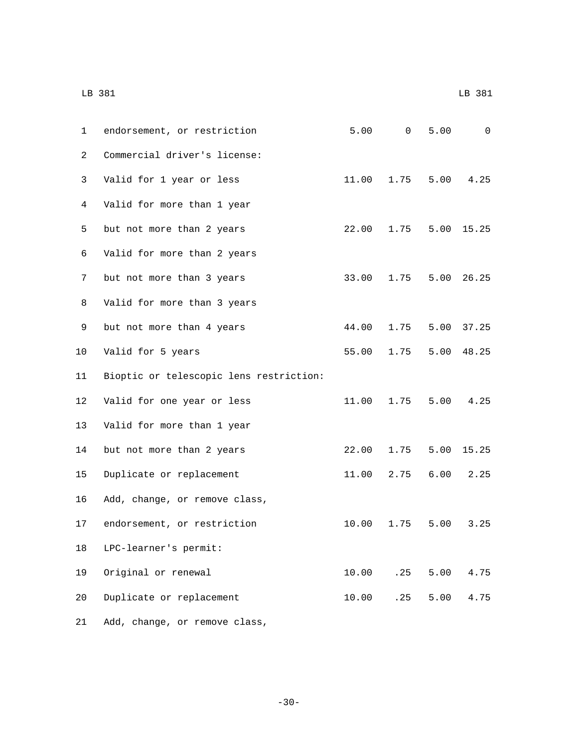|                | LB 381                                  |       |        |      | LB 381      |
|----------------|-----------------------------------------|-------|--------|------|-------------|
| $\mathbf{1}$   | endorsement, or restriction             |       | 5.00 0 | 5.00 | $\mathbf 0$ |
| $\overline{2}$ | Commercial driver's license:            |       |        |      |             |
| 3              | Valid for 1 year or less                | 11.00 | 1.75   | 5.00 | 4.25        |
| 4              | Valid for more than 1 year              |       |        |      |             |
| 5              | but not more than 2 years               | 22.00 | 1.75   | 5.00 | 15.25       |
| 6              | Valid for more than 2 years             |       |        |      |             |
| 7              | but not more than 3 years               | 33.00 | 1.75   | 5.00 | 26.25       |
| 8              | Valid for more than 3 years             |       |        |      |             |
| 9              | but not more than 4 years               | 44.00 | 1.75   | 5.00 | 37.25       |
| 10             | Valid for 5 years                       | 55.00 | 1.75   | 5.00 | 48.25       |
| 11             | Bioptic or telescopic lens restriction: |       |        |      |             |
| 12             | Valid for one year or less              | 11.00 | 1.75   | 5.00 | 4.25        |
| 13             | Valid for more than 1 year              |       |        |      |             |
| 14             | but not more than 2 years               | 22.00 | 1.75   | 5.00 | 15.25       |
| 15             | Duplicate or replacement                | 11.00 | 2.75   | 6.00 | 2.25        |
| 16             | Add, change, or remove class,           |       |        |      |             |
| 17             | endorsement, or restriction             | 10.00 | 1.75   | 5.00 | 3.25        |
| 18             | LPC-learner's permit:                   |       |        |      |             |
| 19             | Original or renewal                     | 10.00 | .25    | 5.00 | 4.75        |
| 20             | Duplicate or replacement                | 10.00 | .25    | 5.00 | 4.75        |
| 21             | Add, change, or remove class,           |       |        |      |             |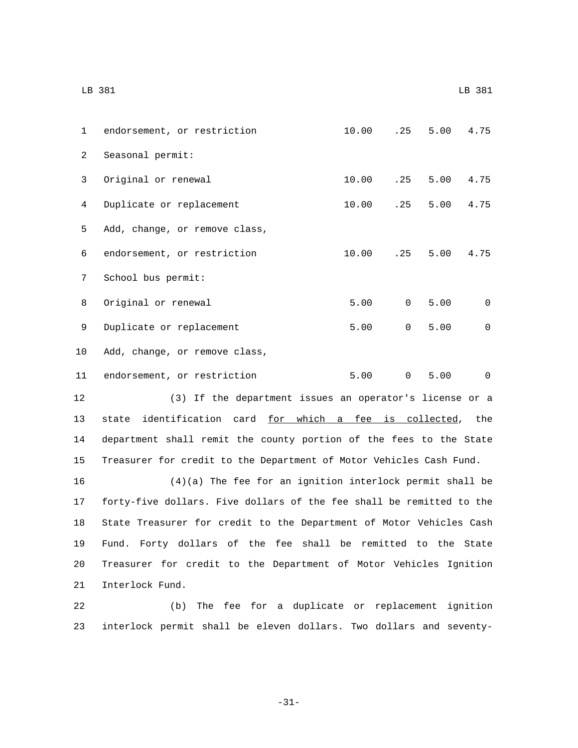|                | LB 381                        |                     |                |                     | LB 381            |
|----------------|-------------------------------|---------------------|----------------|---------------------|-------------------|
| $\mathbf 1$    | endorsement, or restriction   | 10.00 .25 5.00 4.75 |                |                     |                   |
| $\overline{2}$ | Seasonal permit:              |                     |                |                     |                   |
| 3              | Original or renewal           | 10.00               |                | $.25$ $5.00$ $4.75$ |                   |
| 4              | Duplicate or replacement      | 10.00               |                | $.25$ $5.00$ $4.75$ |                   |
| 5              | Add, change, or remove class, |                     |                |                     |                   |
| 6              | endorsement, or restriction   | 10.00               | .25            |                     | $5.00 \quad 4.75$ |
| 7              | School bus permit:            |                     |                |                     |                   |
| 8              | Original or renewal           | 5.00                | 0              | 5.00                | $\mathbf 0$       |
| 9              | Duplicate or replacement      | 5.00                | 0              | 5.00                | $\mathbf 0$       |
| 10             | Add, change, or remove class, |                     |                |                     |                   |
| 11             | endorsement, or restriction   | 5.00                | $\overline{0}$ | 5.00                | $\Omega$          |

 (3) If the department issues an operator's license or a 13 state identification card for which a fee is collected, the department shall remit the county portion of the fees to the State Treasurer for credit to the Department of Motor Vehicles Cash Fund.

 (4)(a) The fee for an ignition interlock permit shall be forty-five dollars. Five dollars of the fee shall be remitted to the State Treasurer for credit to the Department of Motor Vehicles Cash Fund. Forty dollars of the fee shall be remitted to the State Treasurer for credit to the Department of Motor Vehicles Ignition 21 Interlock Fund.

22 (b) The fee for a duplicate or replacement ignition 23 interlock permit shall be eleven dollars. Two dollars and seventy-

-31-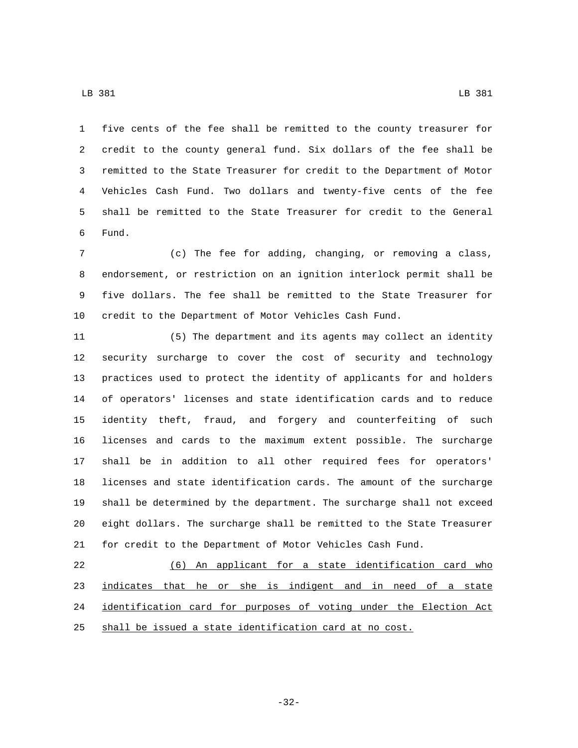five cents of the fee shall be remitted to the county treasurer for credit to the county general fund. Six dollars of the fee shall be remitted to the State Treasurer for credit to the Department of Motor Vehicles Cash Fund. Two dollars and twenty-five cents of the fee shall be remitted to the State Treasurer for credit to the General Fund.6

 (c) The fee for adding, changing, or removing a class, endorsement, or restriction on an ignition interlock permit shall be five dollars. The fee shall be remitted to the State Treasurer for credit to the Department of Motor Vehicles Cash Fund.

 (5) The department and its agents may collect an identity security surcharge to cover the cost of security and technology practices used to protect the identity of applicants for and holders of operators' licenses and state identification cards and to reduce identity theft, fraud, and forgery and counterfeiting of such licenses and cards to the maximum extent possible. The surcharge shall be in addition to all other required fees for operators' licenses and state identification cards. The amount of the surcharge shall be determined by the department. The surcharge shall not exceed eight dollars. The surcharge shall be remitted to the State Treasurer for credit to the Department of Motor Vehicles Cash Fund.

 (6) An applicant for a state identification card who 23 indicates that he or she is indigent and in need of a state identification card for purposes of voting under the Election Act shall be issued a state identification card at no cost.

-32-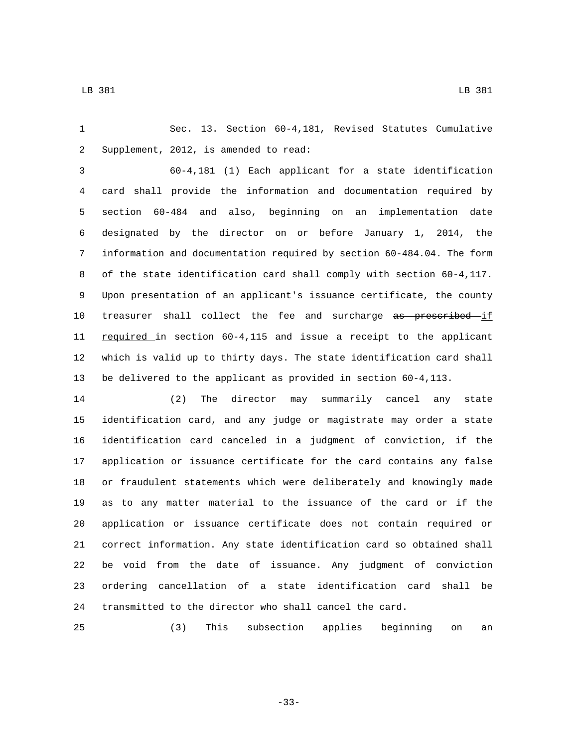Sec. 13. Section 60-4,181, Revised Statutes Cumulative 2 Supplement, 2012, is amended to read:

 60-4,181 (1) Each applicant for a state identification card shall provide the information and documentation required by section 60-484 and also, beginning on an implementation date designated by the director on or before January 1, 2014, the information and documentation required by section 60-484.04. The form of the state identification card shall comply with section 60-4,117. Upon presentation of an applicant's issuance certificate, the county 10 treasurer shall collect the fee and surcharge as prescribed if 11 required in section 60-4,115 and issue a receipt to the applicant which is valid up to thirty days. The state identification card shall be delivered to the applicant as provided in section 60-4,113.

 (2) The director may summarily cancel any state identification card, and any judge or magistrate may order a state identification card canceled in a judgment of conviction, if the application or issuance certificate for the card contains any false or fraudulent statements which were deliberately and knowingly made as to any matter material to the issuance of the card or if the application or issuance certificate does not contain required or correct information. Any state identification card so obtained shall be void from the date of issuance. Any judgment of conviction ordering cancellation of a state identification card shall be transmitted to the director who shall cancel the card.

(3) This subsection applies beginning on an

-33-